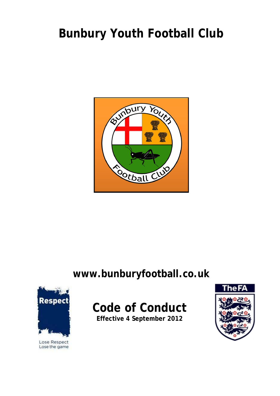# **Bunbury Youth Football Club**



### **www.bunburyfootball.co.uk**



Lose Respect Lose the game

## **Code of Conduct**

**Effective 4 September 2012**

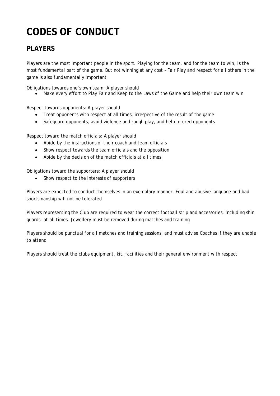### **CODES OF CONDUCT**

#### **PLAYERS**

Players are the most important people in the sport. Playing for the team, and for the team to win, is the most fundamental part of the game. But not winning at any cost – Fair Play and respect for all others in the game is also fundamentally important

Obligations towards one's own team: A player should

Make every effort to Play Fair and Keep to the Laws of the Game and help their own team win

Respect towards opponents: A player should

- Treat opponents with respect at all times, irrespective of the result of the game
- Safeguard opponents, avoid violence and rough play, and help injured opponents

Respect toward the match officials: A player should

- Abide by the instructions of their coach and team officials
- Show respect towards the team officials and the opposition
- Abide by the decision of the match officials at all times

Obligations toward the supporters: A player should

• Show respect to the interests of supporters

Players are expected to conduct themselves in an exemplary manner. Foul and abusive language and bad sportsmanship will not be tolerated

Players representing the Club are required to wear the correct football strip and accessories, including shin guards, at all times. Jewellery must be removed during matches and training

Players should be punctual for all matches and training sessions, and must advise Coaches if they are unable to attend

Players should treat the clubs equipment, kit, facilities and their general environment with respect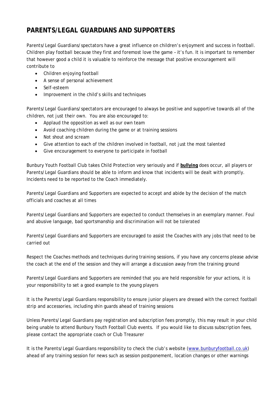#### **PARENTS/LEGAL GUARDIANS AND SUPPORTERS**

Parents/Legal Guardians/spectators have a great influence on children's enjoyment and success in football. Children play football because they first and foremost love the game – it's fun. It is important to remember that however good a child it is valuable to reinforce the message that positive encouragement will contribute to

- Children enjoying football
- A sense of personal achievement
- Self-esteem
- Improvement in the child's skills and techniques

Parents/Legal Guardians/spectators are encouraged to always be positive and supportive towards all of the children, not just their own. You are also encouraged to:

- Applaud the opposition as well as our own team
- Avoid coaching children during the game or at training sessions
- Not shout and scream
- Give attention to each of the children involved in football, not just the most talented
- Give encouragement to everyone to participate in football

Bunbury Youth Football Club takes Child Protection very seriously and if **bullying** does occur, all players or Parents/Legal Guardians should be able to inform and know that incidents will be dealt with promptly. Incidents need to be reported to the Coach immediately.

Parents/Legal Guardians and Supporters are expected to accept and abide by the decision of the match officials and coaches at all times

Parents/Legal Guardians and Supporters are expected to conduct themselves in an exemplary manner. Foul and abusive language, bad sportsmanship and discrimination will not be tolerated

Parents/Legal Guardians and Supporters are encouraged to assist the Coaches with any jobs that need to be carried out

Respect the Coaches methods and techniques during training sessions, if you have any concerns please advise the coach at the end of the session and they will arrange a discussion away from the training ground

Parents/Legal Guardians and Supporters are reminded that you are held responsible for your actions, it is your responsibility to set a good example to the young players

It is the Parents/Legal Guardians responsibility to ensure junior players are dressed with the correct football strip and accessories, including shin guards ahead of training sessions

Unless Parents/Legal Guardians pay registration and subscription fees promptly, this may result in your child being unable to attend Bunbury Youth Football Club events. If you would like to discuss subscription fees, please contact the appropriate coach or Club Treasurer

It is the Parents/Legal Guardians responsibility to check the club's website (www.bunburyfootball.co.uk) ahead of any training session for news such as session postponement, location changes or other warnings